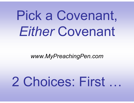# Pick a Covenant, *Either* Covenant

#### *www.MyPreachingPen.com*

# 2 Choices: First …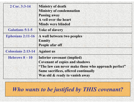| 2 Cor. 3:3-14             | <b>Ministry of death</b><br><b>Ministry of condemnation</b><br><b>Passing away</b><br>A veil over the heart<br><b>Minds were blinded</b>                                                              |  |
|---------------------------|-------------------------------------------------------------------------------------------------------------------------------------------------------------------------------------------------------|--|
| Galatians 5:1-5           | <b>Yoke of slavery</b>                                                                                                                                                                                |  |
| <b>Ephesians 2:11-16</b>  | A wall between two peoples<br><b>Enmity</b><br>People afar off                                                                                                                                        |  |
| <b>Colossians 2:13-14</b> | <b>Against us</b>                                                                                                                                                                                     |  |
| Hebrews $8-10$            | Inferior covenant (implied)<br><b>Covenant of copies and shadows</b><br>"The law can never make those who approach perfect"<br>Same sacrifices, offered continually<br>Was old & ready to vanish away |  |

*Who wants to be justified by THIS covenant?*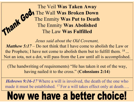The Veil **Was Taken Away**  The Wall **Was Broken Down**  The Enmity **Was Put to Death** The Enmity **Was Abolished** The Law **Was Fulfilled**

man God

*Jesus said about the Old Covenant, Matthew 5:17* – Do not think that I have come to abolish the Law or the Prophets; I have not come to abolish them but to fulfill them. <sup>18</sup>... Not an iota, not a dot, will pass from the Law until all is accomplished.

(The handwriting of requirements) "He has taken it out of the way, having nailed it to the cross." (**Colossians 2:14**)

*Hebrews 9:16-17* Where a will is involved, the death of the one who made it must be established. <sup>17</sup> For a will takes effect only at death....

## Now we have a better choice!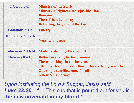| 2 Cor. 3:3-14             | <b>Ministry of the Spirit</b><br><b>Ministry of righteousness/justification</b><br><b>Remains</b><br>The veil is taken away<br><b>Beholding the glory of the Lord</b>                             |
|---------------------------|---------------------------------------------------------------------------------------------------------------------------------------------------------------------------------------------------|
| <b>Galatians 5:1-5</b>    | <b>Liberty</b>                                                                                                                                                                                    |
| <b>Ephesians 2:11-16</b>  | One<br><b>Near; with access</b>                                                                                                                                                                   |
| <b>Colossians 2:13-14</b> | <b>Made us alive together with Him</b>                                                                                                                                                            |
| Hebrews $8-10$            | <b>Better covenant; better promises</b><br>The true; things in the heavens<br>"He  perfected forever those who are being sanctified."<br>One single sacrifice, once for all<br>A new & living way |

*Upon instituting the Lord's Supper, Jesus said,* Luke 22:20 – "... This cup that is poured out for you is **the new covenant in my blood**."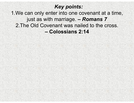#### *Key points:*

1.We can only enter into one covenant at a time, just as with marriage. *– Romans 7* 2.The Old Covenant was nailed to the cross. **– Colossians 2:14**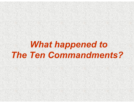### *What happened to The Ten Commandments?*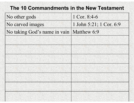#### **The 10 Commandments in the New Testament**

| No other gods                              | 1 Cor. 8:4-6            |
|--------------------------------------------|-------------------------|
| No carved images                           | 1 John 5:21; 1 Cor. 6:9 |
| No taking God's name in vain   Matthew 6:9 |                         |
|                                            |                         |
|                                            |                         |
|                                            |                         |
|                                            |                         |
|                                            |                         |
|                                            |                         |
|                                            |                         |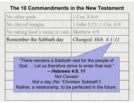### **The 10 Commandments in the New Testament**

| No other gods                                                                                                                                                                                                                                  | 1 Cor. 8:4-6            |  |
|------------------------------------------------------------------------------------------------------------------------------------------------------------------------------------------------------------------------------------------------|-------------------------|--|
| No carved images                                                                                                                                                                                                                               | 1 John 5:21; 1 Cor. 6:9 |  |
| No taking God's name in vain Matthew 6:9                                                                                                                                                                                                       |                         |  |
| Remember the Sabbath day                                                                                                                                                                                                                       | Changed: Heb. $4:1-11$  |  |
|                                                                                                                                                                                                                                                |                         |  |
| "There remains a Sabbath rest for the people of<br>God  Let us therefore strive to enter that rest."<br>- Hebrews 4:9, 11<br><b>Not Canaan</b><br>Not a day (No "Christian Sabbath")<br>Rather, a relationship, to be perfected in the future. |                         |  |
|                                                                                                                                                                                                                                                |                         |  |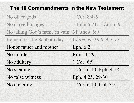### **The 10 Commandments in the New Testament**

| No other gods                | 1 Cor. 8:4-6            |
|------------------------------|-------------------------|
| No carved images             | 1 John 5:21; 1 Cor. 6:9 |
| No taking God's name in vain | Matthew 6:9             |
| Remember the Sabbath day     | Changed: Heb. 4:1-11    |
| Honor father and mother      | Eph. 6:2                |
| No murder                    | Rom. 1:29               |
| No adultery                  | 1 Cor. 6:9              |
| No stealing                  | 1 Cor. 6:10; Eph. 4:28  |
| No false witness             | Eph. 4:25, 29-30        |
| No coveting                  | 1 Cor. 6:10; Col. 3:5   |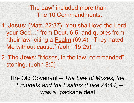"The Law" included more than The 10 Commandments.

1. **Jesus**: (Matt. 22:37) "You shall love the Lord your God…" from Deut. 6:5, and quotes from "their law" citing a Psalm (69:4), "They hated Me without cause." (John 15:25)

2. **The Jews**: "Moses, in the law, commanded" stoning. (John 8:5)

The Old Covenant *– The Law of Moses, the Prophets and the Psalms (Luke 24:44) –* was a "package deal."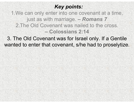#### *Key points:*

1.We can only enter into one covenant at a time, just as with marriage. *– Romans 7* 2.The Old Covenant was nailed to the cross. **– Colossians 2:14**

3. The Old Covenant was for Israel only. If a Gentile wanted to enter that covenant, s/he had to proselytize.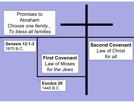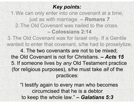### *Key points:*

1.We can only enter into one covenant at a time, just as with marriage. *– Romans 7* 2.The Old Covenant was nailed to the cross. **– Colossians 2:14**

3.The Old Covenant was for Israel only. If a Gentile wanted to enter that covenant, s/he had to proselytize.

4. The two covenants are not to be mixed; the Old Covenant is not for Christians. *– Acts 15*5. If someone lives by *any* Old Testament practice (for religious purposes), s/he must take *all* of the practices:

"I testify again to every man who becomes circumcised that he is a debtor to keep the whole law." *– Galatians 5:3*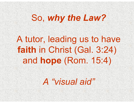### So, *why the Law?*

### A tutor, leading us to have **faith** in Christ (Gal. 3:24) and **hope** (Rom. 15:4)

### *A "visual aid"*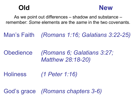

As we point out differences – shadow and substance – remember: *Some* elements are the *same* in the two covenants.

Man's Faith *(Romans 1:16; Galatians 3:22-25)*

Obedience *(Romans 6; Galatians 3:27; Matthew 28:18-20)* 

**Holiness** *(1 Peter 1:16)*

God's grace *(Romans chapters 3-6)*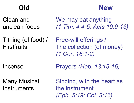### **New**

Clean and unclean foods

Tithing (of food) / **Firstfruits** 

Incense

Many Musical **Instruments** 

We may eat anything *(1 Tim. 4:4-5; Acts 10:9-16)*

Free-will offerings / The collection (of money) *(1 Cor. 16:1-2)*

Prayers *(Heb. 13:15-16)*

Singing, with the heart as the instrument *(Eph. 5:19; Col. 3:16)*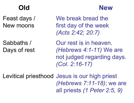Feast days / New moons

Sabbaths / Days of rest

We break bread the first day of the week *(Acts 2:42; 20:7)*

Our rest is in heaven. *(Hebrews 4:1-11)* We are not judged regarding days. *(Col. 2:16-17)*

**New**

Levitical priesthood Jesus is our high priest *(Hebrews 7:11-18)*; we are all priests *(1 Peter 2:5, 9)*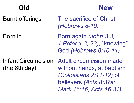### **New**

Born in

Burnt offerings The sacrifice of Christ *(Hebrews 8-10)* 

> Born again *(John 3:3; 1 Peter 1:3, 23)*, "knowing" God *(Hebrews 8:10-11)*

Infant Circumcision (the 8th day)

Adult circumcision made without hands, at baptism *(Colossians 2:11-12)* of believers *(Acts 8:37a; Mark 16:16; Acts 16:31)*